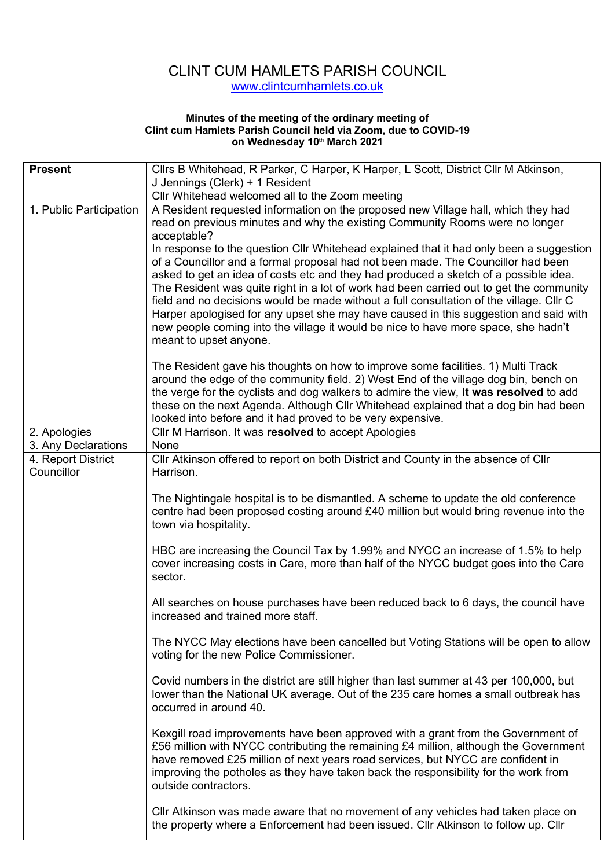## CLINT CUM HAMLETS PARISH COUNCIL www.clintcumhamlets.co.uk

## **Minutes of the meeting of the ordinary meeting of Clint cum Hamlets Parish Council held via Zoom, due to COVID-19 on Wednesday 10th March 2021**

| <b>Present</b>                   | Cllrs B Whitehead, R Parker, C Harper, K Harper, L Scott, District Cllr M Atkinson,                                                                                                                                                                                                                                                                                                                                                                                                                                                                                                                                                                                                                                                                                                                                                                |
|----------------------------------|----------------------------------------------------------------------------------------------------------------------------------------------------------------------------------------------------------------------------------------------------------------------------------------------------------------------------------------------------------------------------------------------------------------------------------------------------------------------------------------------------------------------------------------------------------------------------------------------------------------------------------------------------------------------------------------------------------------------------------------------------------------------------------------------------------------------------------------------------|
|                                  | J Jennings (Clerk) + 1 Resident                                                                                                                                                                                                                                                                                                                                                                                                                                                                                                                                                                                                                                                                                                                                                                                                                    |
|                                  | Cllr Whitehead welcomed all to the Zoom meeting                                                                                                                                                                                                                                                                                                                                                                                                                                                                                                                                                                                                                                                                                                                                                                                                    |
| 1. Public Participation          | A Resident requested information on the proposed new Village hall, which they had<br>read on previous minutes and why the existing Community Rooms were no longer<br>acceptable?<br>In response to the question Cllr Whitehead explained that it had only been a suggestion<br>of a Councillor and a formal proposal had not been made. The Councillor had been<br>asked to get an idea of costs etc and they had produced a sketch of a possible idea.<br>The Resident was quite right in a lot of work had been carried out to get the community<br>field and no decisions would be made without a full consultation of the village. Cllr C<br>Harper apologised for any upset she may have caused in this suggestion and said with                                                                                                              |
|                                  | new people coming into the village it would be nice to have more space, she hadn't<br>meant to upset anyone.<br>The Resident gave his thoughts on how to improve some facilities. 1) Multi Track<br>around the edge of the community field. 2) West End of the village dog bin, bench on<br>the verge for the cyclists and dog walkers to admire the view, It was resolved to add<br>these on the next Agenda. Although Cllr Whitehead explained that a dog bin had been<br>looked into before and it had proved to be very expensive.                                                                                                                                                                                                                                                                                                             |
| 2. Apologies                     | Cllr M Harrison. It was resolved to accept Apologies                                                                                                                                                                                                                                                                                                                                                                                                                                                                                                                                                                                                                                                                                                                                                                                               |
| 3. Any Declarations              | <b>None</b>                                                                                                                                                                                                                                                                                                                                                                                                                                                                                                                                                                                                                                                                                                                                                                                                                                        |
| 4. Report District<br>Councillor | CIIr Atkinson offered to report on both District and County in the absence of CIIr<br>Harrison.<br>The Nightingale hospital is to be dismantled. A scheme to update the old conference<br>centre had been proposed costing around £40 million but would bring revenue into the<br>town via hospitality.<br>HBC are increasing the Council Tax by 1.99% and NYCC an increase of 1.5% to help<br>cover increasing costs in Care, more than half of the NYCC budget goes into the Care<br>sector.                                                                                                                                                                                                                                                                                                                                                     |
|                                  | All searches on house purchases have been reduced back to 6 days, the council have<br>increased and trained more staff.<br>The NYCC May elections have been cancelled but Voting Stations will be open to allow<br>voting for the new Police Commissioner.<br>Covid numbers in the district are still higher than last summer at 43 per 100,000, but<br>lower than the National UK average. Out of the 235 care homes a small outbreak has<br>occurred in around 40.<br>Kexgill road improvements have been approved with a grant from the Government of<br>£56 million with NYCC contributing the remaining £4 million, although the Government<br>have removed £25 million of next years road services, but NYCC are confident in<br>improving the potholes as they have taken back the responsibility for the work from<br>outside contractors. |
|                                  | CIIr Atkinson was made aware that no movement of any vehicles had taken place on<br>the property where a Enforcement had been issued. Cllr Atkinson to follow up. Cllr                                                                                                                                                                                                                                                                                                                                                                                                                                                                                                                                                                                                                                                                             |